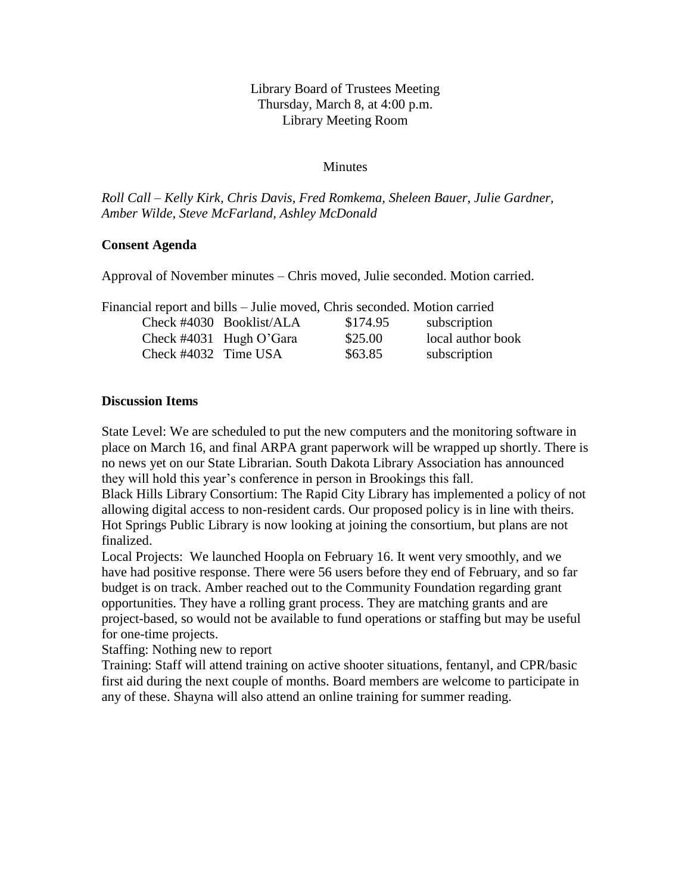# Library Board of Trustees Meeting Thursday, March 8, at 4:00 p.m. Library Meeting Room

### **Minutes**

*Roll Call – Kelly Kirk, Chris Davis, Fred Romkema, Sheleen Bauer, Julie Gardner, Amber Wilde, Steve McFarland, Ashley McDonald*

### **Consent Agenda**

Approval of November minutes – Chris moved, Julie seconded. Motion carried.

| Financial report and bills – Julie moved, Chris seconded. Motion carried |                             |          |                   |
|--------------------------------------------------------------------------|-----------------------------|----------|-------------------|
|                                                                          | Check $\#4030$ Booklist/ALA | \$174.95 | subscription      |
|                                                                          | Check #4031 Hugh O'Gara     | \$25.00  | local author book |
| Check #4032 Time USA                                                     |                             | \$63.85  | subscription      |

### **Discussion Items**

State Level: We are scheduled to put the new computers and the monitoring software in place on March 16, and final ARPA grant paperwork will be wrapped up shortly. There is no news yet on our State Librarian. South Dakota Library Association has announced they will hold this year's conference in person in Brookings this fall.

Black Hills Library Consortium: The Rapid City Library has implemented a policy of not allowing digital access to non-resident cards. Our proposed policy is in line with theirs. Hot Springs Public Library is now looking at joining the consortium, but plans are not finalized.

Local Projects: We launched Hoopla on February 16. It went very smoothly, and we have had positive response. There were 56 users before they end of February, and so far budget is on track. Amber reached out to the Community Foundation regarding grant opportunities. They have a rolling grant process. They are matching grants and are project-based, so would not be available to fund operations or staffing but may be useful for one-time projects.

Staffing: Nothing new to report

Training: Staff will attend training on active shooter situations, fentanyl, and CPR/basic first aid during the next couple of months. Board members are welcome to participate in any of these. Shayna will also attend an online training for summer reading.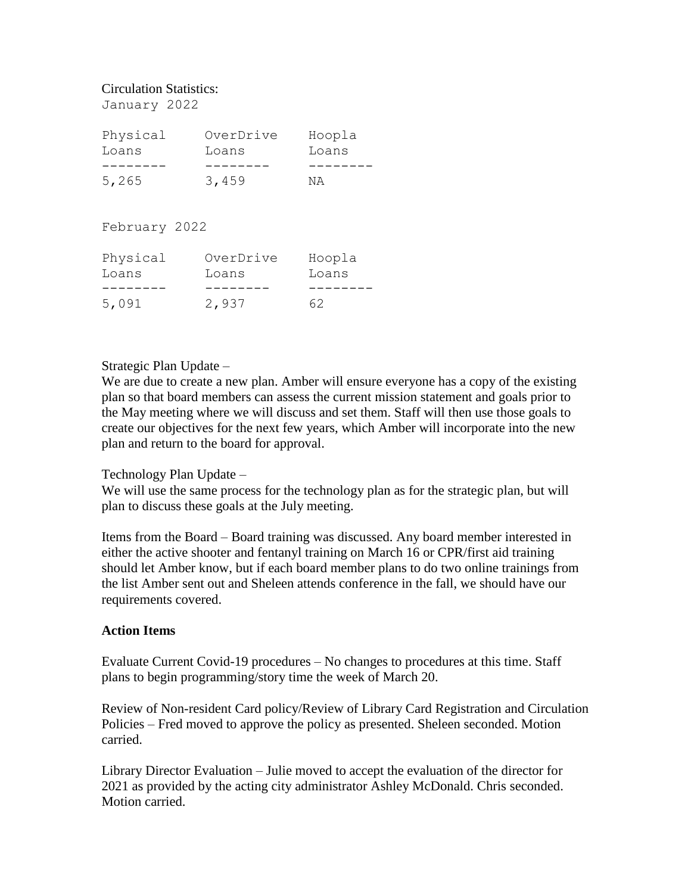### Circulation Statistics:

January 2022

| Physical<br>Loans | OverDrive<br>Loans | Hoopla<br>Loans |
|-------------------|--------------------|-----------------|
|                   |                    |                 |
| 5,265             | 3,459              | ΝA              |

February 2022

| Physical<br>Loans | OverDrive<br>Loans | Hoopla<br>Loans |
|-------------------|--------------------|-----------------|
|                   |                    |                 |
| 5,091             | 2,937              | 62              |

# Strategic Plan Update –

We are due to create a new plan. Amber will ensure everyone has a copy of the existing plan so that board members can assess the current mission statement and goals prior to the May meeting where we will discuss and set them. Staff will then use those goals to create our objectives for the next few years, which Amber will incorporate into the new plan and return to the board for approval.

# Technology Plan Update –

We will use the same process for the technology plan as for the strategic plan, but will plan to discuss these goals at the July meeting.

Items from the Board – Board training was discussed. Any board member interested in either the active shooter and fentanyl training on March 16 or CPR/first aid training should let Amber know, but if each board member plans to do two online trainings from the list Amber sent out and Sheleen attends conference in the fall, we should have our requirements covered.

# **Action Items**

Evaluate Current Covid-19 procedures – No changes to procedures at this time. Staff plans to begin programming/story time the week of March 20.

Review of Non-resident Card policy/Review of Library Card Registration and Circulation Policies – Fred moved to approve the policy as presented. Sheleen seconded. Motion carried.

Library Director Evaluation – Julie moved to accept the evaluation of the director for 2021 as provided by the acting city administrator Ashley McDonald. Chris seconded. Motion carried.